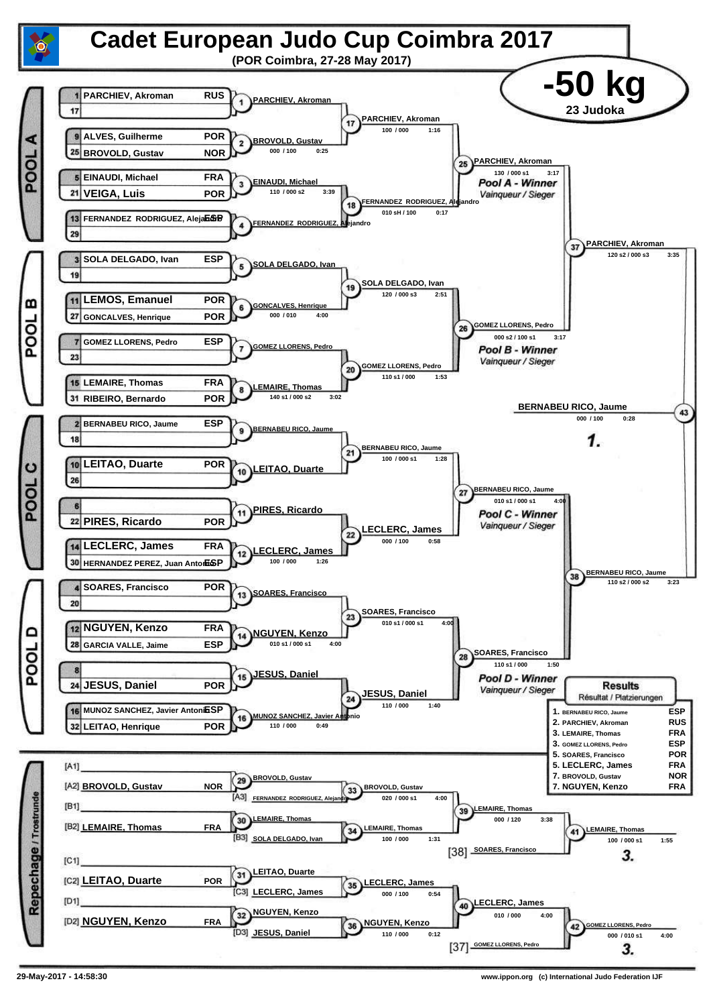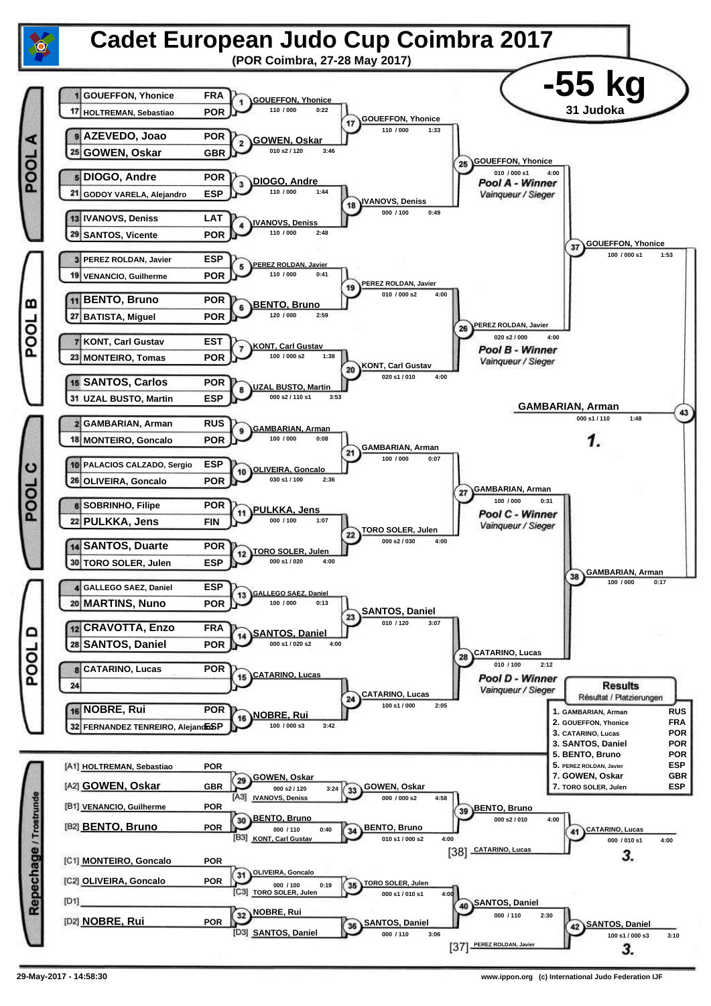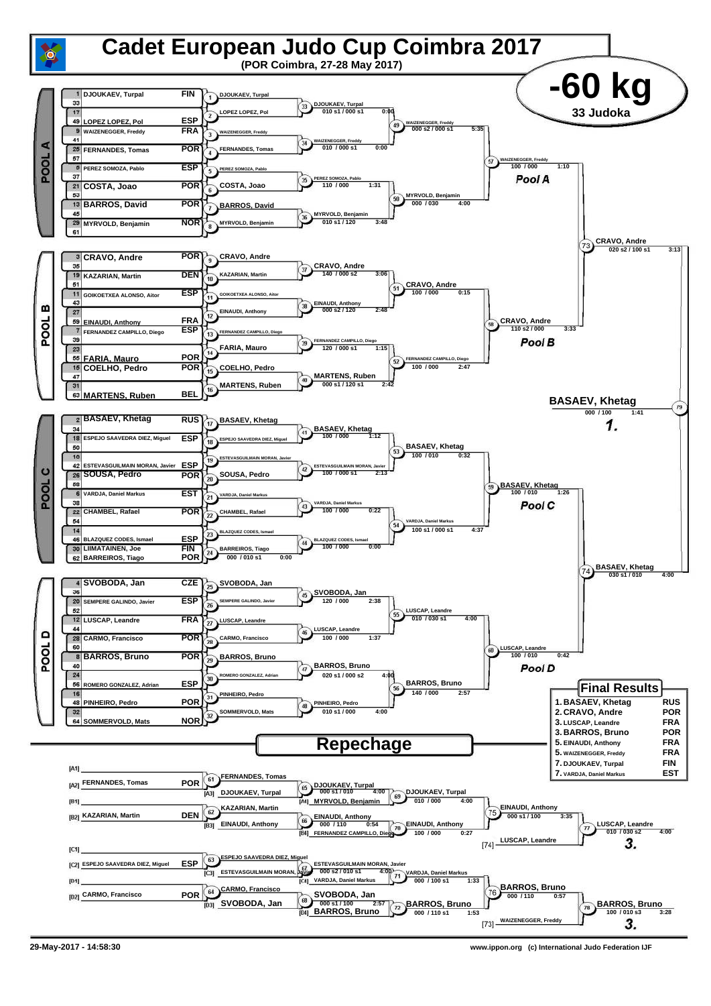

**<sup>29-</sup>May-2017 - 14:58:30 www.ippon.org (c) International Judo Federation IJF**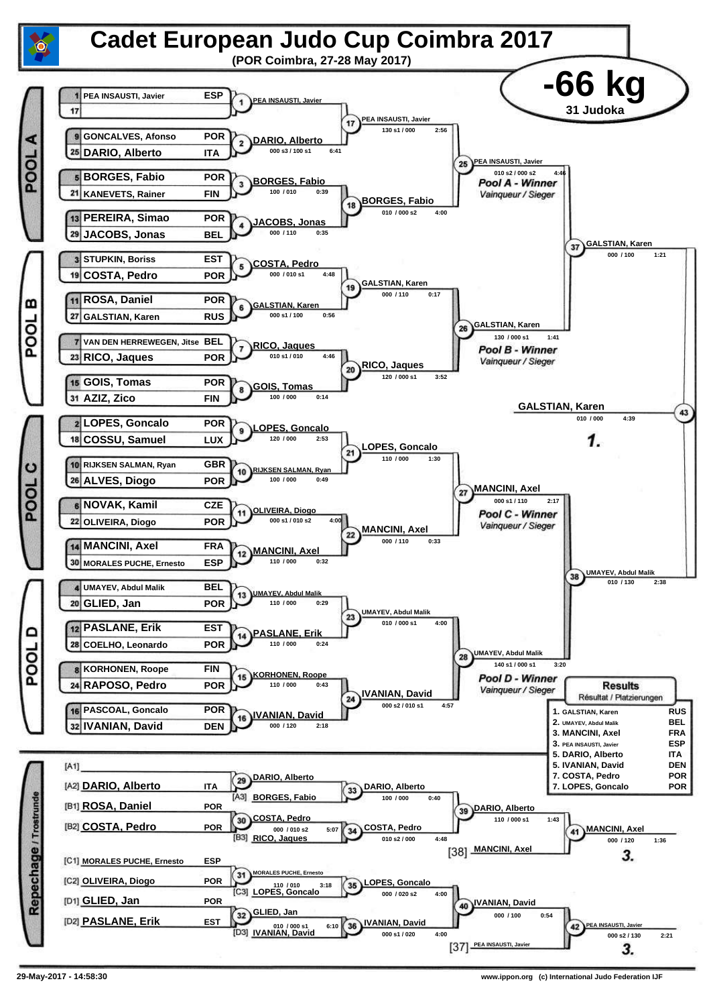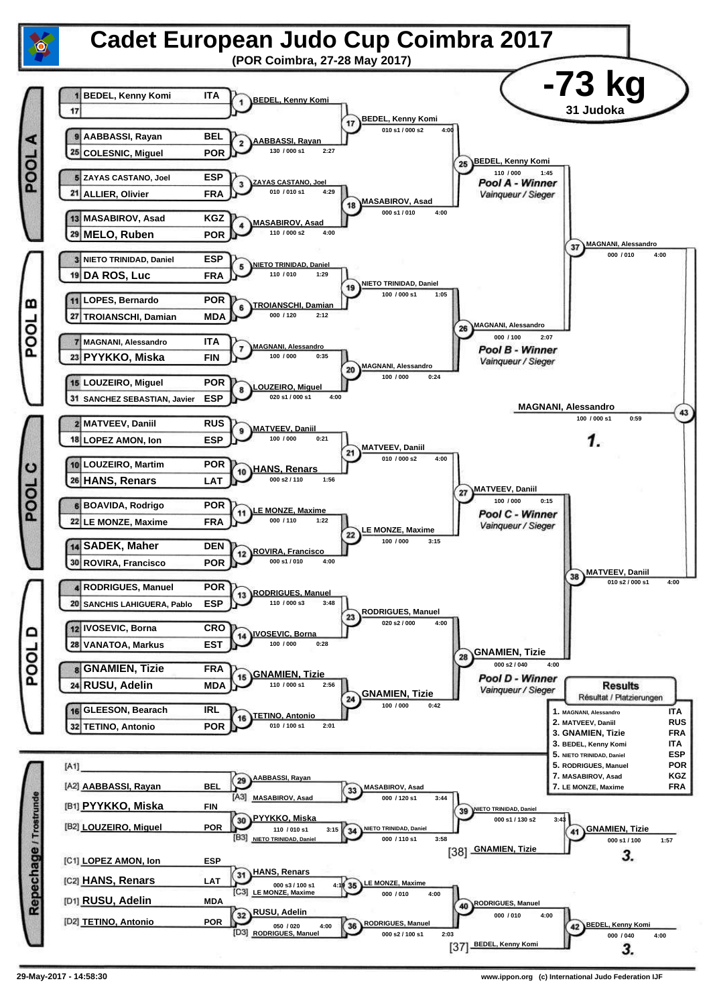![](_page_4_Figure_0.jpeg)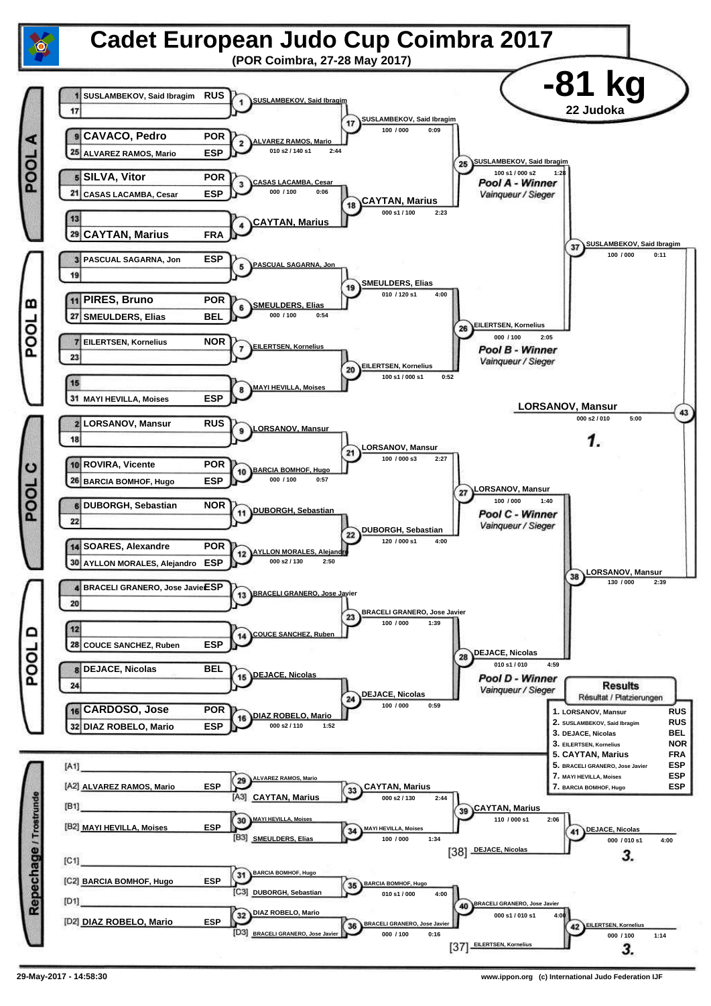![](_page_5_Figure_0.jpeg)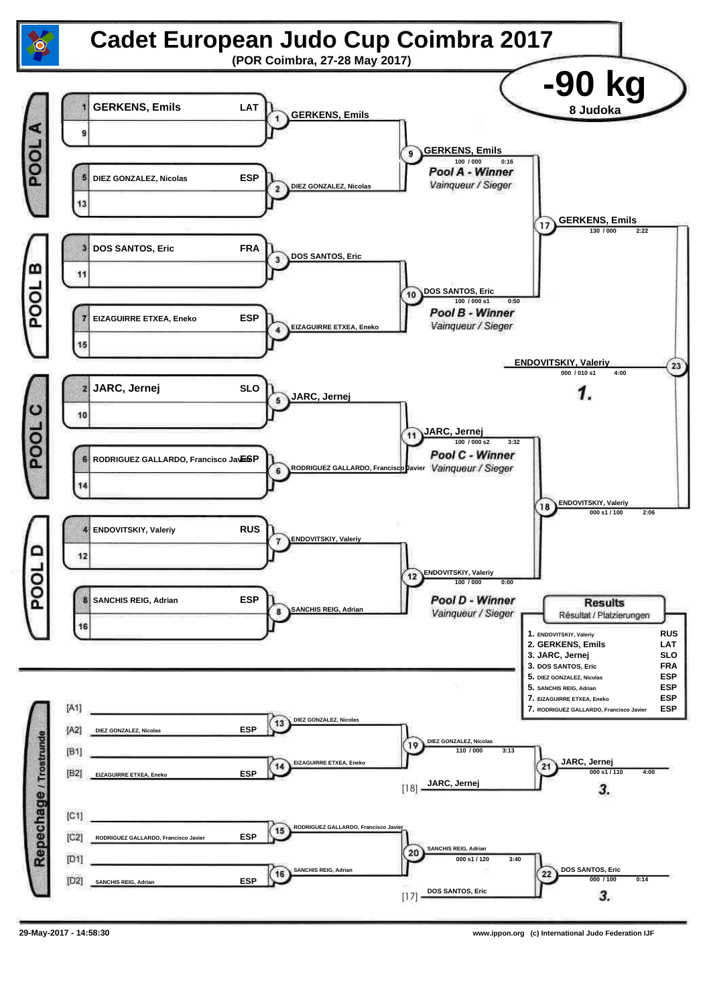![](_page_6_Figure_0.jpeg)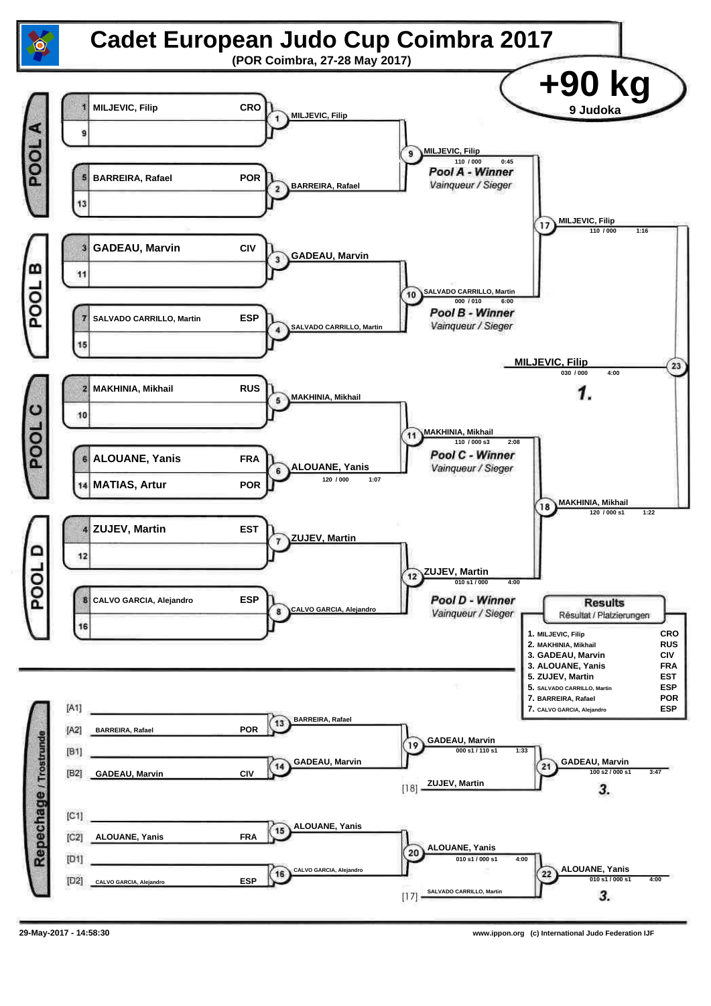![](_page_7_Figure_0.jpeg)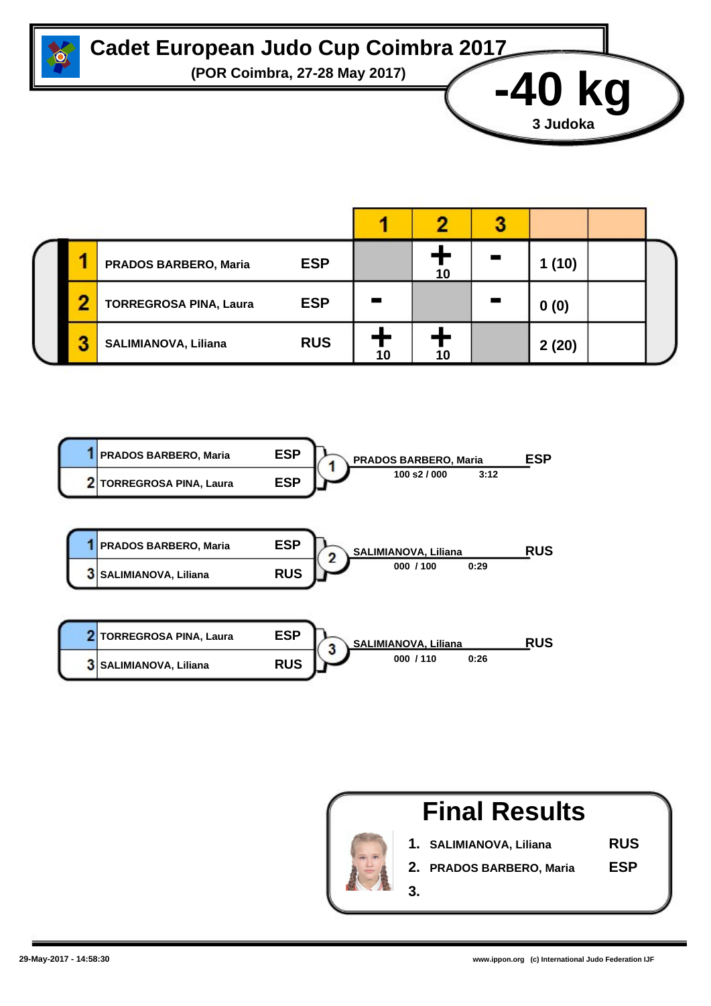![](_page_8_Picture_0.jpeg)

## **Cadet European Judo Cup Coimbra 2017**

**(POR Coimbra, 27-28 May 2017) -40 kg**

|  | PRADOS BARBERO, Maria         | <b>ESP</b> | ιu | (10)  |  |
|--|-------------------------------|------------|----|-------|--|
|  | <b>TORREGROSA PINA, Laura</b> | <b>ESP</b> |    | 0(0)  |  |
|  | <b>SALIMIANOVA, Liliana</b>   | <b>RUS</b> |    | 2(20) |  |

![](_page_8_Figure_4.jpeg)

![](_page_8_Picture_5.jpeg)

**3 Judoka**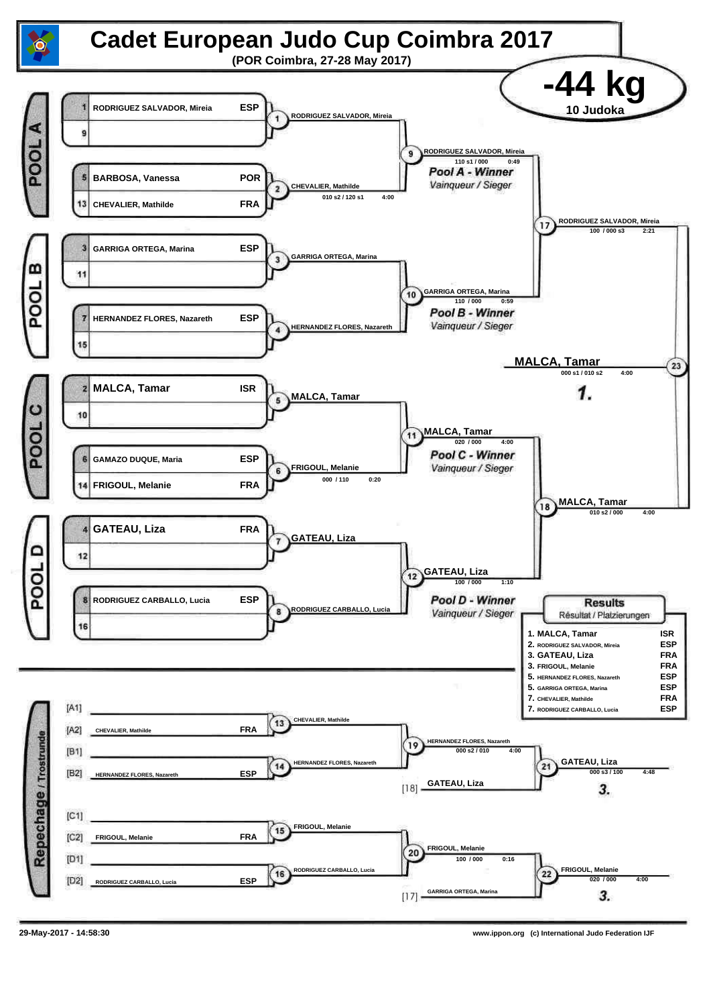![](_page_9_Figure_0.jpeg)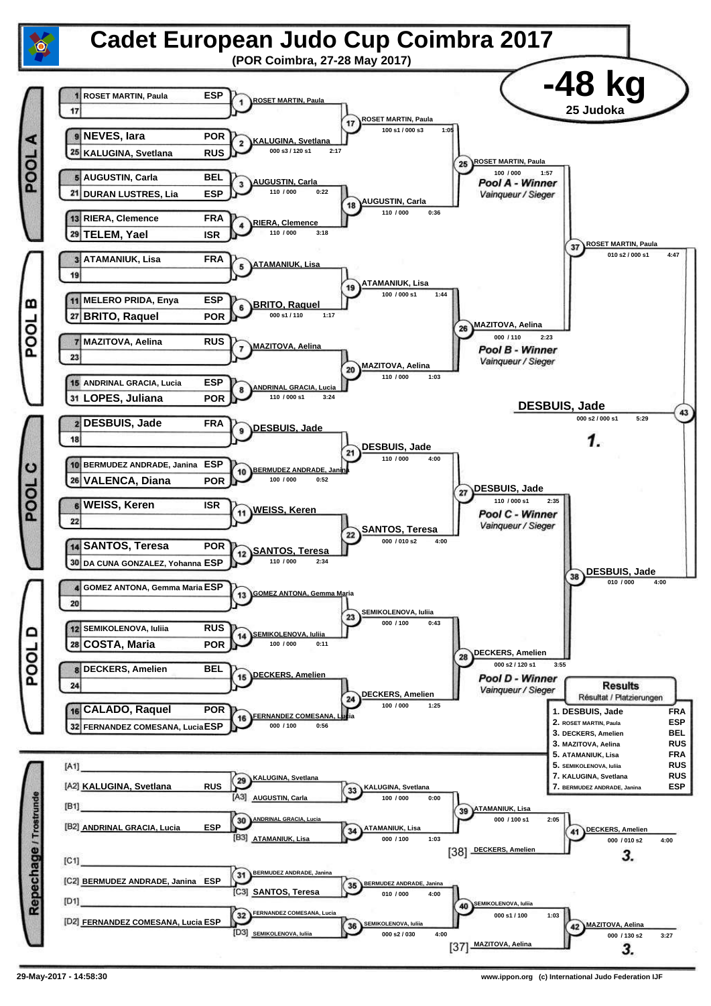![](_page_10_Figure_0.jpeg)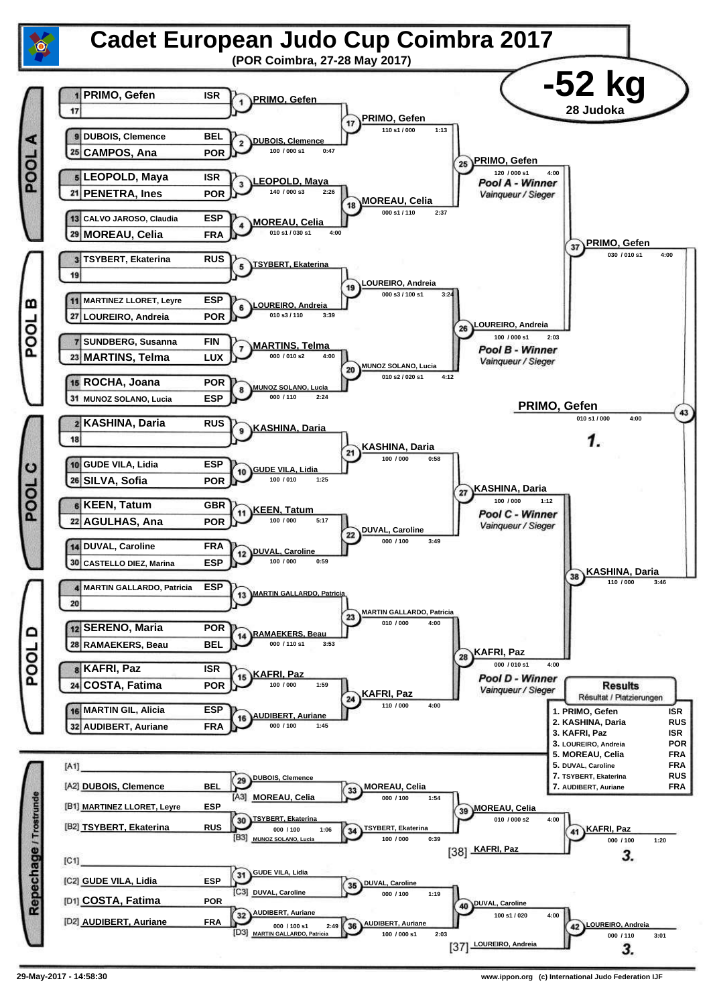![](_page_11_Figure_0.jpeg)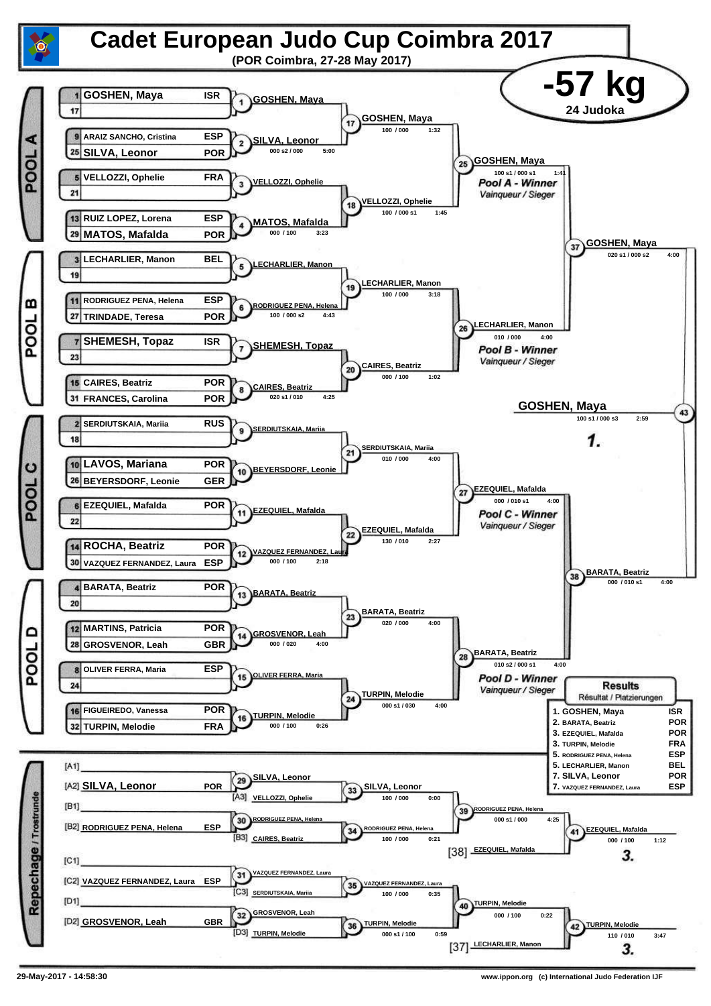![](_page_12_Figure_0.jpeg)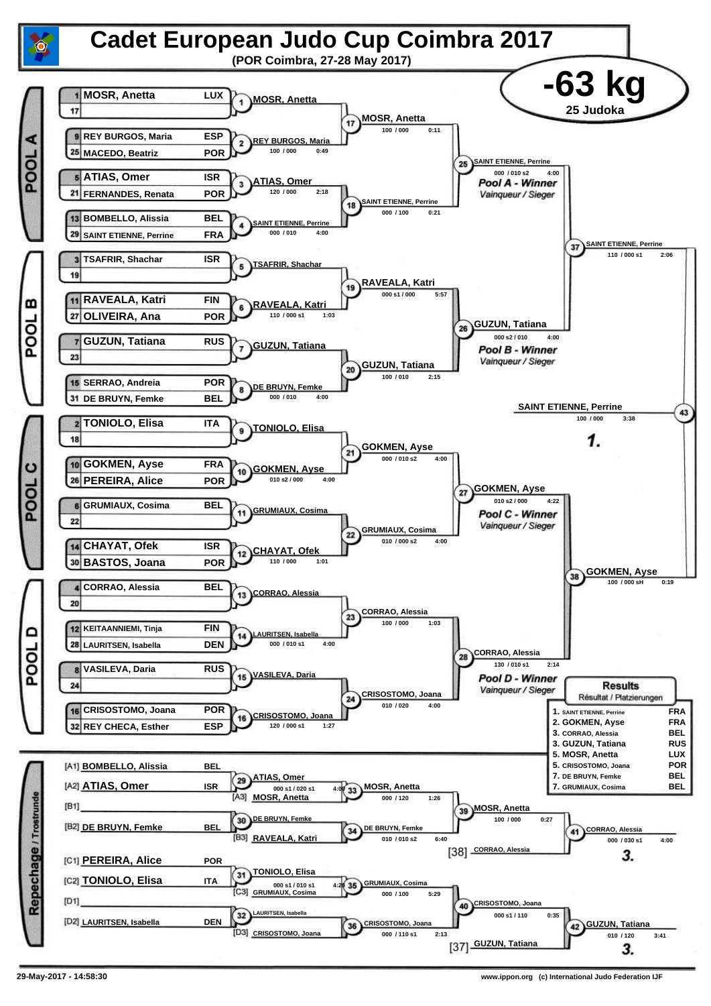![](_page_13_Figure_0.jpeg)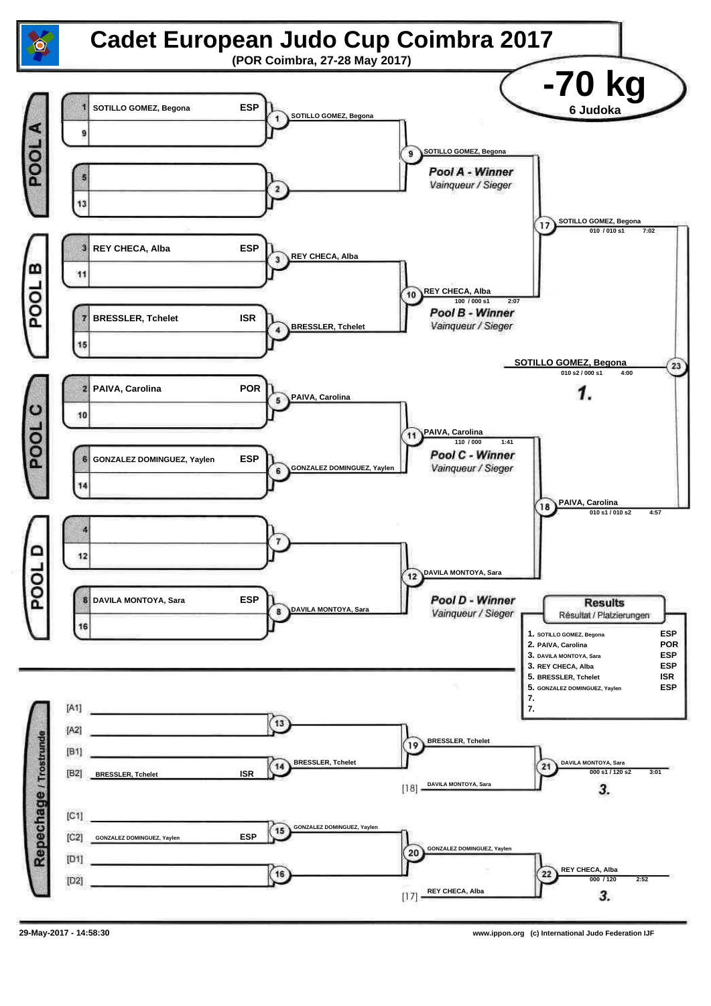![](_page_14_Figure_0.jpeg)